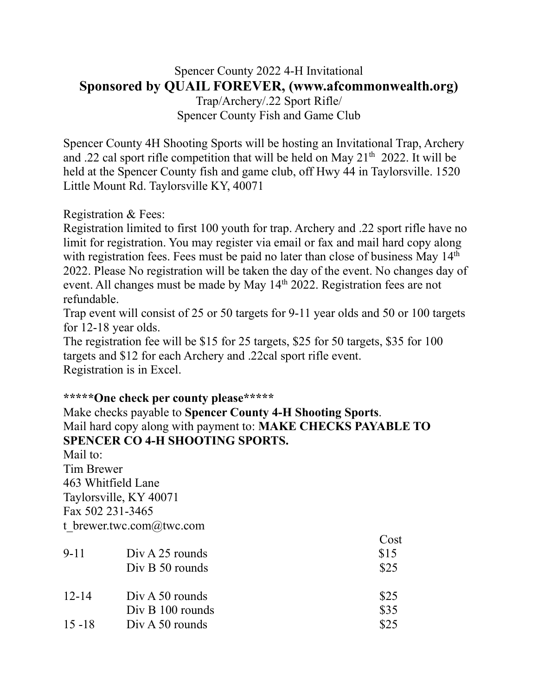## Spencer County 2022 4-H Invitational **Sponsored by QUAIL FOREVER, (www.afcommonwealth.org)**

Trap/Archery/.22 Sport Rifle/ Spencer County Fish and Game Club

Spencer County 4H Shooting Sports will be hosting an Invitational Trap, Archery and .22 cal sport rifle competition that will be held on May  $21<sup>th</sup>$  2022. It will be held at the Spencer County fish and game club, off Hwy 44 in Taylorsville. 1520 Little Mount Rd. Taylorsville KY, 40071

Registration & Fees:

Registration limited to first 100 youth for trap. Archery and .22 sport rifle have no limit for registration. You may register via email or fax and mail hard copy along with registration fees. Fees must be paid no later than close of business May 14th 2022. Please No registration will be taken the day of the event. No changes day of event. All changes must be made by May 14<sup>th</sup> 2022. Registration fees are not refundable.

Trap event will consist of 25 or 50 targets for 9-11 year olds and 50 or 100 targets for 12-18 year olds.

The registration fee will be \$15 for 25 targets, \$25 for 50 targets, \$35 for 100 targets and \$12 for each Archery and .22cal sport rifle event. Registration is in Excel.

## **\*\*\*\*\*One check per county please\*\*\*\*\***

Make checks payable to **Spencer County 4-H Shooting Sports**. Mail hard copy along with payment to: **MAKE CHECKS PAYABLE TO SPENCER CO 4-H SHOOTING SPORTS.**

Mail to: Tim Brewer 463 Whitfield Lane Taylorsville, KY 40071 Fax 502 231-3465 t\_brewer.twc.com@twc.com

|           |                   | Cost |
|-----------|-------------------|------|
| $9 - 11$  | $Div A 25$ rounds | \$15 |
|           | $Div B 50$ rounds | \$25 |
| $12 - 14$ | $Div A 50$ rounds | \$25 |
|           | Div B 100 rounds  | \$35 |
| $15 - 18$ | $Div A 50$ rounds | \$25 |